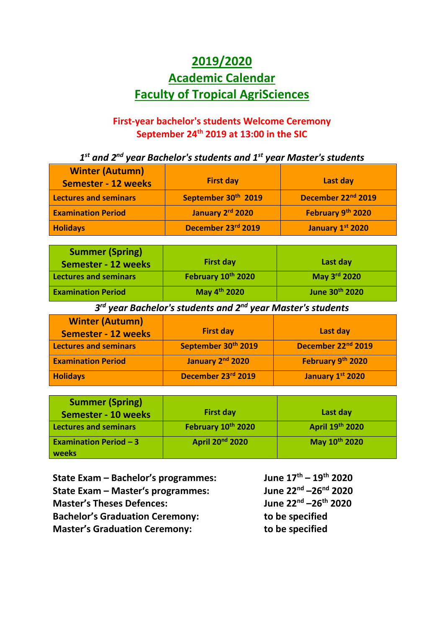## **2019/2020 Academic Calendar Faculty of Tropical AgriSciences**

## **First-year bachelor's students Welcome Ceremony September 24 th 2019 at 13:00 in the SIC**

*1 st and 2nd year Bachelor's students and 1st year Master's students*

| <b>Winter (Autumn)</b><br><b>Semester - 12 weeks</b> | <b>First day</b>                | Last day                       |
|------------------------------------------------------|---------------------------------|--------------------------------|
| Lectures and seminars                                | September 30 <sup>th</sup> 2019 | December 22 <sup>nd</sup> 2019 |
| <b>Examination Period</b>                            | January 2rd 2020                | February 9th 2020              |
| <b>Holidays</b>                                      | December 23rd 2019              | January 1st 2020               |

| <b>Summer (Spring)</b><br>Semester - 12 weeks | <b>First day</b>         | Last day       |
|-----------------------------------------------|--------------------------|----------------|
| <b>Lectures and seminars</b>                  | February 10th 2020       | May 3rd 2020   |
| <b>Examination Period</b>                     | May 4 <sup>th</sup> 2020 | June 30th 2020 |

*3 rd year Bachelor's students and 2nd year Master's students*

| <b>Winter (Autumn)</b><br><b>Semester - 12 weeks</b> | <b>First day</b>    | Last day                       |
|------------------------------------------------------|---------------------|--------------------------------|
| <b>Lectures and seminars</b>                         | September 30th 2019 | December 22 <sup>nd</sup> 2019 |
| <b>Examination Period</b>                            | January 2nd 2020    | February 9th 2020              |
| <b>Holidays</b>                                      | December 23rd 2019  | January 1st 2020               |

| <b>Summer (Spring)</b><br><b>Semester - 10 weeks</b> | <b>First day</b>            | Last day        |
|------------------------------------------------------|-----------------------------|-----------------|
| Lectures and seminars                                | February 10th 2020          | April 19th 2020 |
| <b>Examination Period - 3</b><br>weeks               | April 20 <sup>nd</sup> 2020 | May 10th 2020   |

**State Exam – Bachelor's programmes: June 17th – 19th 2020 State Exam – Master's programmes: June 22nd –26nd 2020 Master's Theses Defences: Bachelor's Graduation Ceremony: to be specified Master's Graduation Ceremony: to be specified**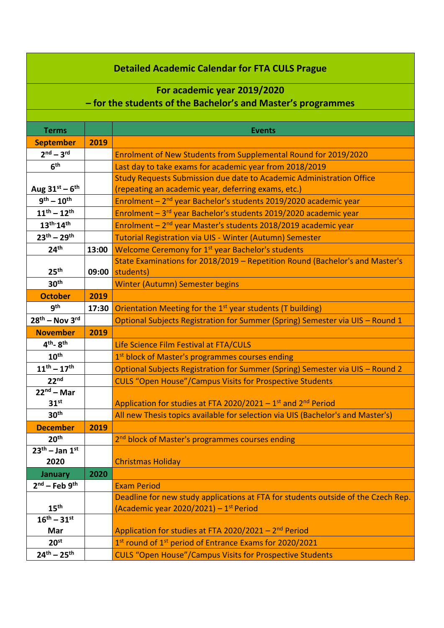## **Detailed Academic Calendar for FTA CULS Prague**

## **For academic year 2019/2020 – for the students of the Bachelor's and Master's programmes**

| <b>Terms</b>                     |       | <b>Events</b>                                                                         |
|----------------------------------|-------|---------------------------------------------------------------------------------------|
| <b>September</b>                 | 2019  |                                                                                       |
| $2nd - 3rd$                      |       | Enrolment of New Students from Supplemental Round for 2019/2020                       |
| 6 <sup>th</sup>                  |       | Last day to take exams for academic year from 2018/2019                               |
|                                  |       | Study Requests Submission due date to Academic Administration Office                  |
| Aug $31^{st} - 6^{th}$           |       | (repeating an academic year, deferring exams, etc.)                                   |
| $9^{th} - 10^{th}$               |       | Enrolment - 2 <sup>nd</sup> year Bachelor's students 2019/2020 academic year          |
| $11^{th} - 12^{th}$              |       | Enrolment - 3rd year Bachelor's students 2019/2020 academic year                      |
| $13^{th} \cdot 14^{th}$          |       | Enrolment - 2 <sup>nd</sup> year Master's students 2018/2019 academic year            |
| $23^{th} - 29^{th}$              |       | <b>Tutorial Registration via UIS - Winter (Autumn) Semester</b>                       |
| 24 <sup>th</sup>                 | 13:00 | Welcome Ceremony for 1 <sup>st</sup> year Bachelor's students                         |
|                                  |       | State Examinations for 2018/2019 - Repetition Round (Bachelor's and Master's          |
| 25 <sup>th</sup>                 | 09:00 | students)                                                                             |
| 30 <sup>th</sup>                 |       | <b>Winter (Autumn) Semester begins</b>                                                |
| <b>October</b>                   | 2019  |                                                                                       |
| gth                              | 17:30 | Orientation Meeting for the 1 <sup>st</sup> year students (T building)                |
| $28th$ – Nov 3rd                 |       | Optional Subjects Registration for Summer (Spring) Semester via UIS - Round 1         |
| <b>November</b>                  | 2019  |                                                                                       |
| 4 <sup>th</sup> -8 <sup>th</sup> |       | Life Science Film Festival at FTA/CULS                                                |
| 10 <sup>th</sup>                 |       | 1st block of Master's programmes courses ending                                       |
| $11^{th} - 17^{th}$              |       | Optional Subjects Registration for Summer (Spring) Semester via UIS - Round 2         |
| 22 <sup>nd</sup>                 |       | <b>CULS "Open House"/Campus Visits for Prospective Students</b>                       |
| $22nd - Mar$                     |       |                                                                                       |
| 31 <sup>st</sup>                 |       | Application for studies at FTA 2020/2021 - 1 <sup>st</sup> and 2 <sup>nd</sup> Period |
| 30 <sup>th</sup>                 |       | All new Thesis topics available for selection via UIS (Bachelor's and Master's)       |
| <b>December</b>                  | 2019  |                                                                                       |
| 20 <sup>th</sup>                 |       | 2 <sup>nd</sup> block of Master's programmes courses ending                           |
| $\overline{23^{th}}$ – Jan 1st   |       |                                                                                       |
| 2020                             |       | <b>Christmas Holiday</b>                                                              |
| January                          | 2020  |                                                                                       |
| $2nd$ – Feb $9th$                |       | <b>Exam Period</b>                                                                    |
|                                  |       | Deadline for new study applications at FTA for students outside of the Czech Rep.     |
| 15 <sup>th</sup>                 |       | (Academic year 2020/2021) - 1 <sup>st</sup> Period                                    |
| $16^{th} - 31^{st}$              |       |                                                                                       |
| Mar                              |       | Application for studies at FTA 2020/2021 - 2 <sup>nd</sup> Period                     |
| 20 <sup>st</sup>                 |       | 1st round of 1st period of Entrance Exams for 2020/2021                               |
| $24^{th} - 25^{th}$              |       | <b>CULS "Open House"/Campus Visits for Prospective Students</b>                       |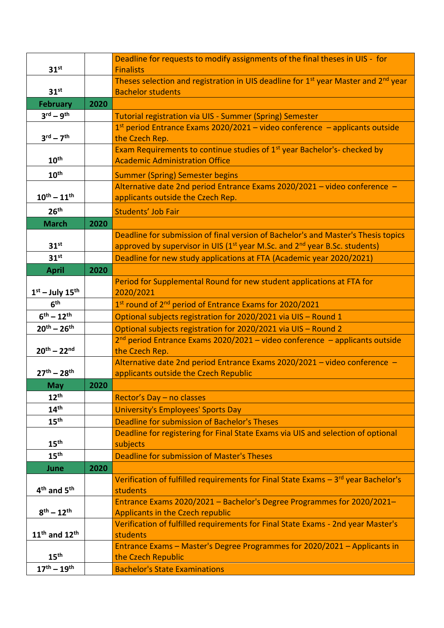|                                     |      | Deadline for requests to modify assignments of the final theses in UIS - for                               |
|-------------------------------------|------|------------------------------------------------------------------------------------------------------------|
| 31 <sup>st</sup>                    |      | <b>Finalists</b>                                                                                           |
|                                     |      | Theses selection and registration in UIS deadline for 1 <sup>st</sup> year Master and 2 <sup>nd</sup> year |
| 31 <sup>st</sup>                    |      | <b>Bachelor students</b>                                                                                   |
| <b>February</b>                     | 2020 |                                                                                                            |
| $3^{\text{rd}} - 9^{\text{th}}$     |      | <b>Tutorial registration via UIS - Summer (Spring) Semester</b>                                            |
|                                     |      | $1st$ period Entrance Exams 2020/2021 – video conference – applicants outside                              |
| $3^{\text{rd}} - 7^{\text{th}}$     |      | the Czech Rep.                                                                                             |
|                                     |      | Exam Requirements to continue studies of 1 <sup>st</sup> year Bachelor's- checked by                       |
| 10 <sup>th</sup>                    |      | <b>Academic Administration Office</b>                                                                      |
| 10 <sup>th</sup>                    |      | <b>Summer (Spring) Semester begins</b>                                                                     |
|                                     |      | Alternative date 2nd period Entrance Exams 2020/2021 - video conference -                                  |
| $10^{th} - 11^{th}$                 |      | applicants outside the Czech Rep.                                                                          |
| 26 <sup>th</sup>                    |      | Students' Job Fair                                                                                         |
| <b>March</b>                        | 2020 |                                                                                                            |
|                                     |      | Deadline for submission of final version of Bachelor's and Master's Thesis topics                          |
| 31 <sup>st</sup>                    |      | approved by supervisor in UIS (1 <sup>st</sup> year M.Sc. and 2 <sup>nd</sup> year B.Sc. students)         |
| 31 <sup>st</sup>                    |      | Deadline for new study applications at FTA (Academic year 2020/2021)                                       |
| <b>April</b>                        | 2020 |                                                                                                            |
|                                     |      | Period for Supplemental Round for new student applications at FTA for                                      |
| $1st$ – July 15 <sup>th</sup>       |      | 2020/2021                                                                                                  |
| 6 <sup>th</sup>                     |      | 1st round of 2 <sup>nd</sup> period of Entrance Exams for 2020/2021                                        |
| $6^{th} - 12^{th}$                  |      | Optional subjects registration for 2020/2021 via UIS - Round 1                                             |
| $20^{th} - 26^{th}$                 |      | Optional subjects registration for 2020/2021 via UIS - Round 2                                             |
|                                     |      | $2nd$ period Entrance Exams 2020/2021 – video conference – applicants outside                              |
| $20^{th} - 22^{nd}$                 |      | the Czech Rep.                                                                                             |
|                                     |      | Alternative date 2nd period Entrance Exams 2020/2021 - video conference -                                  |
| $27^{th} - 28^{th}$                 |      | applicants outside the Czech Republic                                                                      |
| <b>May</b>                          | 2020 |                                                                                                            |
| 12 <sup>th</sup>                    |      | Rector's Day - no classes                                                                                  |
| 14 <sup>th</sup>                    |      | <b>University's Employees' Sports Day</b>                                                                  |
| 15 <sup>th</sup>                    |      | Deadline for submission of Bachelor's Theses                                                               |
|                                     |      | Deadline for registering for Final State Exams via UIS and selection of optional                           |
| 15 <sup>th</sup>                    |      | subjects                                                                                                   |
| 15 <sup>th</sup>                    |      | <b>Deadline for submission of Master's Theses</b>                                                          |
| June                                | 2020 |                                                                                                            |
|                                     |      | Verification of fulfilled requirements for Final State Exams $-3^{rd}$ year Bachelor's                     |
| 4 <sup>th</sup> and 5 <sup>th</sup> |      | students                                                                                                   |
|                                     |      | Entrance Exams 2020/2021 - Bachelor's Degree Programmes for 2020/2021-                                     |
| $8^{th} - 12^{th}$                  |      | <b>Applicants in the Czech republic</b>                                                                    |
|                                     |      | Verification of fulfilled requirements for Final State Exams - 2nd year Master's                           |
| $11th$ and $12th$                   |      | students                                                                                                   |
| 15 <sup>th</sup>                    |      | Entrance Exams - Master's Degree Programmes for 2020/2021 - Applicants in                                  |
|                                     |      | the Czech Republic                                                                                         |
| $17^{th} - 19^{th}$                 |      | <b>Bachelor's State Examinations</b>                                                                       |